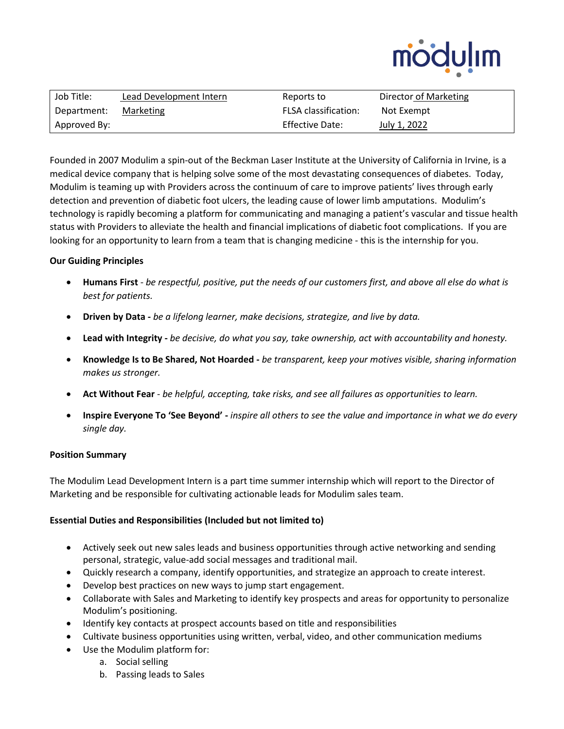

| Job Title:   | Lead Development Intern | Reports to                  | Director of Marketing |
|--------------|-------------------------|-----------------------------|-----------------------|
| Department:  | Marketing               | <b>FLSA</b> classification: | Not Exempt            |
| Approved By: |                         | <b>Effective Date:</b>      | July 1, 2022          |

Founded in 2007 Modulim a spin-out of the Beckman Laser Institute at the University of California in Irvine, is a medical device company that is helping solve some of the most devastating consequences of diabetes. Today, Modulim is teaming up with Providers across the continuum of care to improve patients' lives through early detection and prevention of diabetic foot ulcers, the leading cause of lower limb amputations. Modulim's technology is rapidly becoming a platform for communicating and managing a patient's vascular and tissue health status with Providers to alleviate the health and financial implications of diabetic foot complications. If you are looking for an opportunity to learn from a team that is changing medicine - this is the internship for you.

# **Our Guiding Principles**

- **Humans First** *be respectful, positive, put the needs of our customers first, and above all else do what is best for patients.*
- **Driven by Data -** *be a lifelong learner, make decisions, strategize, and live by data.*
- **Lead with Integrity -** *be decisive, do what you say, take ownership, act with accountability and honesty.*
- **Knowledge Is to Be Shared, Not Hoarded -** *be transparent, keep your motives visible, sharing information makes us stronger.*
- **Act Without Fear** *be helpful, accepting, take risks, and see all failures as opportunities to learn.*
- **Inspire Everyone To 'See Beyond' -** *inspire all others to see the value and importance in what we do every single day.*

### **Position Summary**

The Modulim Lead Development Intern is a part time summer internship which will report to the Director of Marketing and be responsible for cultivating actionable leads for Modulim sales team.

# **Essential Duties and Responsibilities (Included but not limited to)**

- Actively seek out new sales leads and business opportunities through active networking and sending personal, strategic, value-add social messages and traditional mail.
- Quickly research a company, identify opportunities, and strategize an approach to create interest.
- Develop best practices on new ways to jump start engagement.
- Collaborate with Sales and Marketing to identify key prospects and areas for opportunity to personalize Modulim's positioning.
- Identify key contacts at prospect accounts based on title and responsibilities
- Cultivate business opportunities using written, verbal, video, and other communication mediums
- Use the Modulim platform for:
	- a. Social selling
	- b. Passing leads to Sales